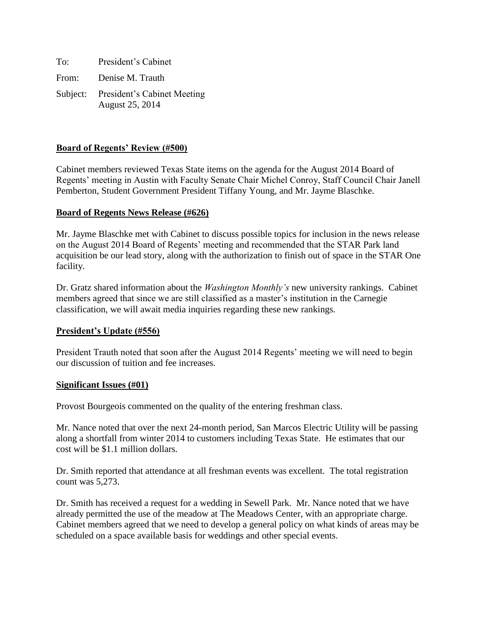| To:   | President's Cabinet                                     |
|-------|---------------------------------------------------------|
| From: | Denise M. Trauth                                        |
|       | Subject: President's Cabinet Meeting<br>August 25, 2014 |

## **Board of Regents' Review (#500)**

Cabinet members reviewed Texas State items on the agenda for the August 2014 Board of Regents' meeting in Austin with Faculty Senate Chair Michel Conroy, Staff Council Chair Janell Pemberton, Student Government President Tiffany Young, and Mr. Jayme Blaschke.

## **Board of Regents News Release (#626)**

Mr. Jayme Blaschke met with Cabinet to discuss possible topics for inclusion in the news release on the August 2014 Board of Regents' meeting and recommended that the STAR Park land acquisition be our lead story, along with the authorization to finish out of space in the STAR One facility.

Dr. Gratz shared information about the *Washington Monthly's* new university rankings. Cabinet members agreed that since we are still classified as a master's institution in the Carnegie classification, we will await media inquiries regarding these new rankings.

## **President's Update (#556)**

President Trauth noted that soon after the August 2014 Regents' meeting we will need to begin our discussion of tuition and fee increases.

#### **Significant Issues (#01)**

Provost Bourgeois commented on the quality of the entering freshman class.

Mr. Nance noted that over the next 24-month period, San Marcos Electric Utility will be passing along a shortfall from winter 2014 to customers including Texas State. He estimates that our cost will be \$1.1 million dollars.

Dr. Smith reported that attendance at all freshman events was excellent. The total registration count was 5,273.

Dr. Smith has received a request for a wedding in Sewell Park. Mr. Nance noted that we have already permitted the use of the meadow at The Meadows Center, with an appropriate charge. Cabinet members agreed that we need to develop a general policy on what kinds of areas may be scheduled on a space available basis for weddings and other special events.